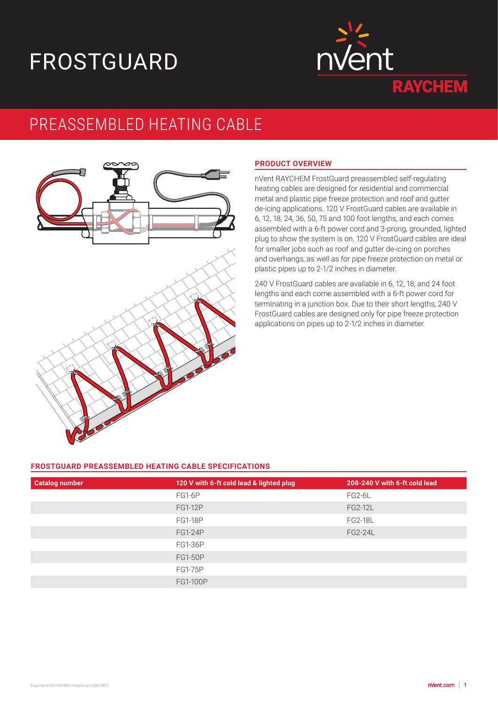# FROSTGUARD



## PREASSEMBLED HEATING CABLE



#### **PRODUCT OVERVIEW**

nVent RAYCHEM FrostGuard preassembled self-regulating heating cables are designed for residential and commercial metal and plastic pipe freeze protection and roof and gutter de-icing applications. 120 V FrostGuard cables are available in 6, 12, 18, 24, 36, 50, 75 and 100 foot lengths, and each comes assembled with a 6-ft power cord and 3-prong, grounded, lighted plug to show the system is on. 120 V FrostGuard cables are ideal for smaller jobs such as roof and gutter de-icing on porches and overhangs, as well as for pipe freeze protection on metal or plastic pipes up to 2-1/2 inches in diameter.

240 V FrostGuard cables are available in 6, 12, 18, and 24 foot lengths and each come assembled with a 6-ft power cord for terminating in a junction box. Due to their short lengths, 240 V FrostGuard cables are designed only for pipe freeze protection applications on pipes up to 2-1/2 inches in diameter.

#### **FROSTGUARD PREASSEMBLED HEATING CABLE SPECIFICATIONS**

| <b>Catalog number</b> | 120 V with 6-ft cold lead & lighted plug | 208-240 V with 6-ft cold lead |
|-----------------------|------------------------------------------|-------------------------------|
|                       | FG1-6P                                   | FG2-6L                        |
|                       | <b>FG1-12P</b>                           | <b>FG2-12L</b>                |
|                       | <b>FG1-18P</b>                           | <b>FG2-18L</b>                |
|                       | <b>FG1-24P</b>                           | <b>FG2-24L</b>                |
|                       | <b>FG1-36P</b>                           |                               |
|                       | <b>FG1-50P</b>                           |                               |
|                       | <b>FG1-75P</b>                           |                               |
|                       | FG1-100P                                 |                               |
|                       |                                          |                               |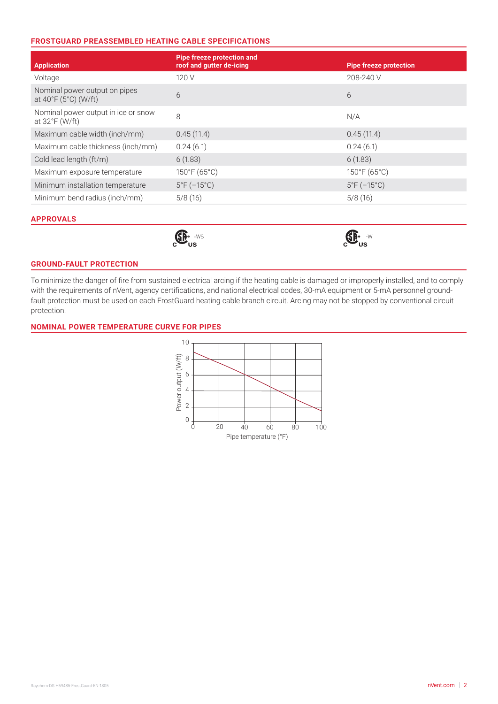#### **FROSTGUARD PREASSEMBLED HEATING CABLE SPECIFICATIONS**

| <b>Application</b>                                    | <b>Pipe freeze protection and</b><br>roof and gutter de-icing | <b>Pipe freeze protection</b> |  |
|-------------------------------------------------------|---------------------------------------------------------------|-------------------------------|--|
| Voltage                                               | 120 V                                                         | 208-240 V                     |  |
| Nominal power output on pipes<br>at 40°F (5°C) (W/ft) | 6                                                             | 6                             |  |
| Nominal power output in ice or snow<br>at 32°F (W/ft) | 8                                                             | N/A                           |  |
| Maximum cable width (inch/mm)                         | 0.45(11.4)                                                    | 0.45(11.4)                    |  |
| Maximum cable thickness (inch/mm)                     | 0.24(6.1)                                                     | 0.24(6.1)                     |  |
| Cold lead length (ft/m)                               | 6(1.83)                                                       | 6(1.83)                       |  |
| Maximum exposure temperature                          | 150°F (65°C)                                                  | $150^{\circ}F(65^{\circ}C)$   |  |
| Minimum installation temperature                      | $5^{\circ}F(-15^{\circ}C)$                                    | $5^{\circ}F(-15^{\circ}C)$    |  |
| Minimum bend radius (inch/mm)                         | 5/8(16)                                                       | 5/8(16)                       |  |

#### **APPROVALS**



#### **GROUND-FAULT PROTECTION**

To minimize the danger of fire from sustained electrical arcing if the heating cable is damaged or improperly installed, and to comply with the requirements of nVent, agency certifications, and national electrical codes, 30-mA equipment or 5-mA personnel groundfault protection must be used on each FrostGuard heating cable branch circuit. Arcing may not be stopped by conventional circuit protection.

#### **NOMINAL POWER TEMPERATURE CURVE FOR PIPES**

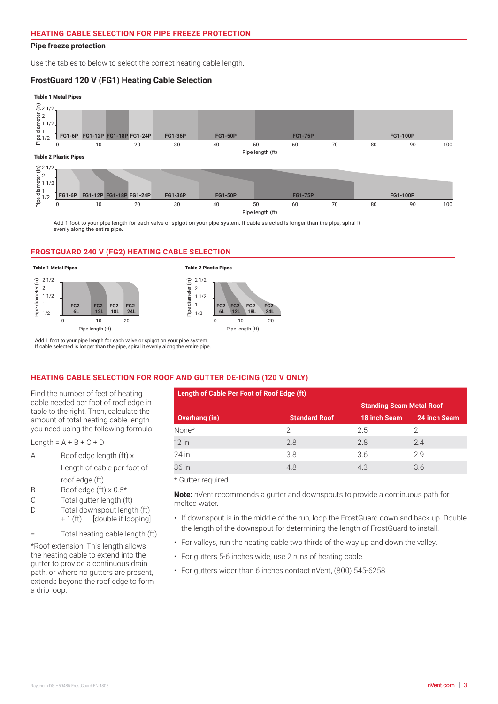#### **Pipe freeze protection** 0 10 20 0 10 20

Use the tables to below to select the correct heating cable length.

#### FrostGuard 120 V (FG1) Heating Cable Selection

**18L**

#### Table 1 Metal Pipes



**6L 12L** **18L**

**24L**

Pipe length (ft)

0 10 20 30 40 50 60 70 80 90 100

Add 1 foot to your pipe length for each valve or spigot on your pipe system. If cable selected is longer than the pipe, spiral it evenly along the entire pipe.

#### **FROSTGUARD 240 V (FG2) HEATING CABLE SELECTION**



Add 1 foot to your pipe length for each valve or spigot on your pipe system. If cable selected is longer than the pipe, spiral it evenly along the entire pipe.

### 2 **HEATING CABLE SELECTION FOR ROOF AND GUTTER DE-ICING (120 V ONLY)**

| <b>HEATING CABLE SELECTION FOR P</b>    |
|-----------------------------------------|
| Find the number of feet of heating      |
|                                         |
| cable needed per foot of roof edge in   |
| table to the right. Then, calculate the |
| amount of total heating cable length    |
| you need using the following formula:   |

- ou ne<br>.ength<br>, roof edge (ft)
- B Roof edge (ft)  $\times$  0.5\*
- C Total gutter length (ft)
- D Total downspout length (ft)
- + 1 (ft) [double if looping]

= Total heating cable length (ft)

\*Roof extension: This length allows the heating cable to extend into the gutter to provide a continuous drain path, or where no gutters are present, extends beyond the roof edge to form a drip loop.

|                                                                                                                                                                   | Find the number of feet of heating | Length of Cable Per Foot of Roof Edge (ft) |                      |                                 |              |
|-------------------------------------------------------------------------------------------------------------------------------------------------------------------|------------------------------------|--------------------------------------------|----------------------|---------------------------------|--------------|
| cable needed per foot of roof edge in<br>table to the right. Then, calculate the<br>amount of total heating cable length<br>you need using the following formula: |                                    |                                            |                      | <b>Standing Seam Metal Roof</b> |              |
|                                                                                                                                                                   |                                    | Overhang (in)                              | <b>Standard Roof</b> | 18 inch Seam                    | 24 inch Seam |
|                                                                                                                                                                   |                                    | None*                                      |                      | 2.5                             |              |
| Length = $A + B + C + D$                                                                                                                                          |                                    | $12$ in                                    | 2.8                  | 2.8                             | 2.4          |
| A                                                                                                                                                                 | Roof edge length (ft) x            | 24 in                                      | 3.8                  | 3.6                             | 2.9          |
|                                                                                                                                                                   | Length of cable per foot of        | 36 in                                      | 4.8                  | 4.3                             | 3.6          |

roof edge (ft) is a value of your pipe system. If can value selected is longer than the pipe, spiral it is longer than the pipe, spiral it is longer than the pipe, spiral it is longer than the pipe, spiral it is longer tha

**Note:** nVent recommends a gutter and downspouts to provide a continuous path for melted water.

- If downspout is in the middle of the run, loop the FrostGuard down and back up. Double the length of the downspout for determining the length of FrostGuard to install.
- For valleys, run the heating cable two thirds of the way up and down the valley.
- For gutters 5-6 inches wide, use 2 runs of heating cable.
- For gutters wider than 6 inches contact nVent, (800) 545-6258.